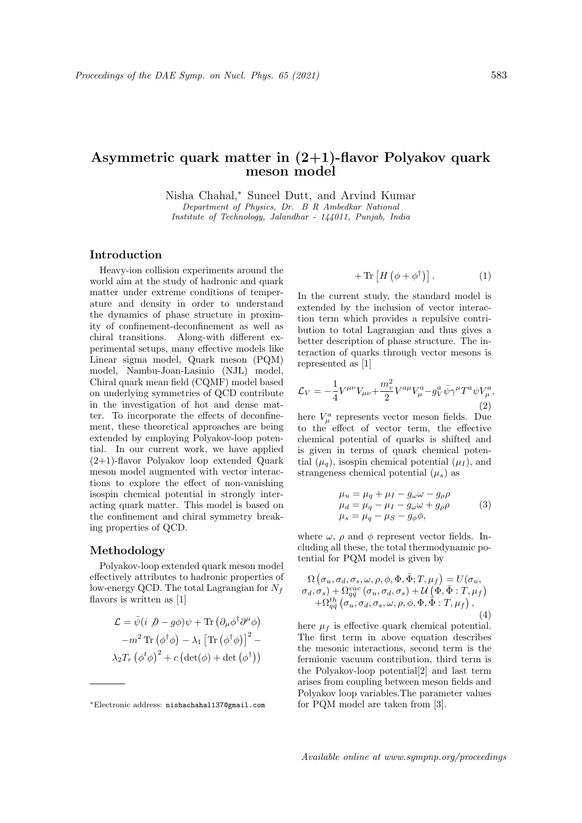# Asymmetric quark matter in (2+1)-flavor Polyakov quark meson model

Nisha Chahal,<sup>∗</sup> Suneel Dutt, and Arvind Kumar Department of Physics, Dr. B R Ambedkar National Institute of Technology, Jalandhar - 144011, Punjab, India

## Introduction

Heavy-ion collision experiments around the world aim at the study of hadronic and quark matter under extreme conditions of temperature and density in order to understand the dynamics of phase structure in proximity of confinement-deconfinement as well as chiral transitions. Along-with different experimental setups, many effective models like Linear sigma model, Quark meson (PQM) model, Nambu-Joan-Lasinio (NJL) model, Chiral quark mean field (CQMF) model based on underlying symmetries of QCD contribute in the investigation of hot and dense matter. To incorporate the effects of deconfinement, these theoretical approaches are being extended by employing Polyakov-loop potential. In our current work, we have applied (2+1)-flavor Polyakov loop extended Quark meson model augmented with vector interactions to explore the effect of non-vanishing isospin chemical potential in strongly interacting quark matter. This model is based on the confinement and chiral symmetry breaking properties of QCD.

### Methodology

Polyakov-loop extended quark meson model effectively attributes to hadronic properties of low-energy QCD. The total Lagrangian for  $N_f$ flavors is written as [1]

$$
\mathcal{L} = \bar{\psi}(i \, \beta - g\phi)\psi + \text{Tr}(\partial_{\mu}\phi^{\dagger}\partial^{\mu}\phi)
$$

$$
-m^{2} \text{Tr}(\phi^{\dagger}\phi) - \lambda_{1} \left[\text{Tr}(\phi^{\dagger}\phi)\right]^{2} - \lambda_{2}T_{r}(\phi^{t}\phi)^{2} + c \left(\det(\phi) + \det(\phi^{\dagger})\right)
$$

$$
+ \operatorname{Tr} \left[ H \left( \phi + \phi^{\dagger} \right) \right]. \tag{1}
$$

In the current study, the standard model is extended by the inclusion of vector interaction term which provides a repulsive contribution to total Lagrangian and thus gives a better description of phase structure. The interaction of quarks through vector mesons is represented as [1]

$$
\mathcal{L}_V = -\frac{1}{4} V^{\mu\nu} V_{\mu\nu} + \frac{m_v^2}{2} V^{a\mu} V^a_\mu - g_V^a \bar{\psi} \gamma^\mu T^a \psi V^a_\mu, \tag{2}
$$

here  $V^a_\mu$  represents vector meson fields. Due to the effect of vector term, the effective chemical potential of quarks is shifted and is given in terms of quark chemical potential  $(\mu_q)$ , isospin chemical potential  $(\mu_I)$ , and strangeness chemical potential  $(\mu_s)$  as

$$
\mu_u = \mu_q + \mu_I - g_\omega \omega - g_\rho \rho \n\mu_d = \mu_q - \mu_I - g_\omega \omega + g_\rho \rho \n\mu_s = \mu_q - \mu_S - g_\phi \phi,
$$
\n(3)

where  $\omega$ ,  $\rho$  and  $\phi$  represent vector fields. Including all these, the total thermodynamic potential for PQM model is given by

$$
\Omega\left(\sigma_u, \sigma_d, \sigma_s, \omega, \rho, \phi, \Phi, \bar{\Phi}; T, \mu_f\right) = U(\sigma_u,\sigma_d, \sigma_s) + \Omega_{q\bar{q}}^{vac}(\sigma_u, \sigma_d, \sigma_s) + U\left(\Phi, \bar{\Phi}; T, \mu_f\right)+ \Omega_{q\bar{q}}^{th}(\sigma_u, \sigma_d, \sigma_s, \omega, \rho, \phi, \Phi, \bar{\Phi}; T, \mu_f),
$$
\n(4)

here  $\mu_f$  is effective quark chemical potential. The first term in above equation describes the mesonic interactions, second term is the fermionic vacuum contribution, third term is the Polyakov-loop potential[2] and last term arises from coupling between meson fields and Polyakov loop variables.The parameter values for PQM model are taken from [3].

<sup>∗</sup>Electronic address: nishachahal137@gmail.com